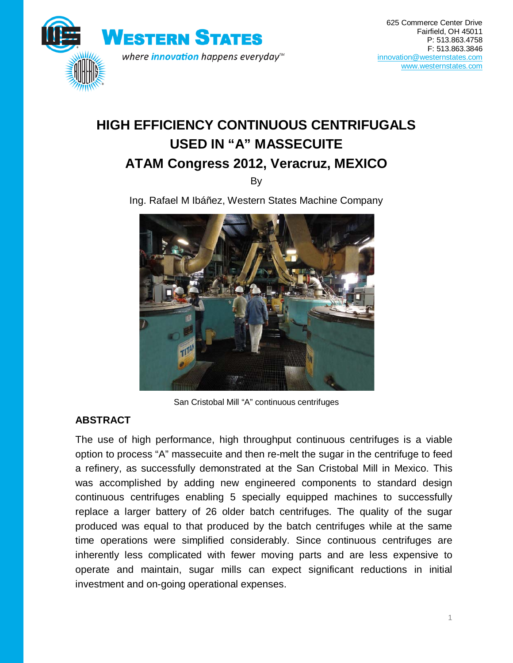

# **HIGH EFFICIENCY CONTINUOUS CENTRIFUGALS USED IN "A" MASSECUITE ATAM Congress 2012, Veracruz, MEXICO**

By

Ing. Rafael M Ibáñez, Western States Machine Company



San Cristobal Mill "A" continuous centrifuges

## **ABSTRACT**

The use of high performance, high throughput continuous centrifuges is a viable option to process "A" massecuite and then re-melt the sugar in the centrifuge to feed a refinery, as successfully demonstrated at the San Cristobal Mill in Mexico. This was accomplished by adding new engineered components to standard design continuous centrifuges enabling 5 specially equipped machines to successfully replace a larger battery of 26 older batch centrifuges. The quality of the sugar produced was equal to that produced by the batch centrifuges while at the same time operations were simplified considerably. Since continuous centrifuges are inherently less complicated with fewer moving parts and are less expensive to operate and maintain, sugar mills can expect significant reductions in initial investment and on-going operational expenses.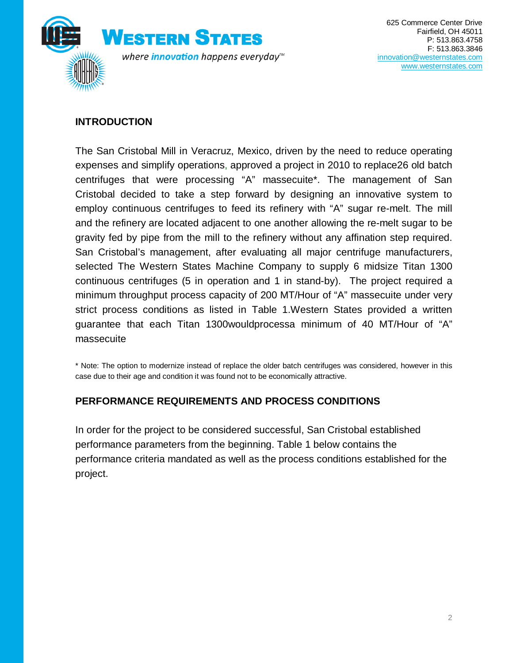

### **INTRODUCTION**

The San Cristobal Mill in Veracruz, Mexico, driven by the need to reduce operating expenses and simplify operations, approved a project in 2010 to replace26 old batch centrifuges that were processing "A" massecuite\*. The management of San Cristobal decided to take a step forward by designing an innovative system to employ continuous centrifuges to feed its refinery with "A" sugar re-melt. The mill and the refinery are located adjacent to one another allowing the re-melt sugar to be gravity fed by pipe from the mill to the refinery without any affination step required. San Cristobal's management, after evaluating all major centrifuge manufacturers, selected The Western States Machine Company to supply 6 midsize Titan 1300 continuous centrifuges (5 in operation and 1 in stand-by). The project required a minimum throughput process capacity of 200 MT/Hour of "A" massecuite under very strict process conditions as listed in Table 1.Western States provided a written guarantee that each Titan 1300wouldprocessa minimum of 40 MT/Hour of "A" massecuite

\* Note: The option to modernize instead of replace the older batch centrifuges was considered, however in this case due to their age and condition it was found not to be economically attractive.

#### **PERFORMANCE REQUIREMENTS AND PROCESS CONDITIONS**

In order for the project to be considered successful, San Cristobal established performance parameters from the beginning. Table 1 below contains the performance criteria mandated as well as the process conditions established for the project.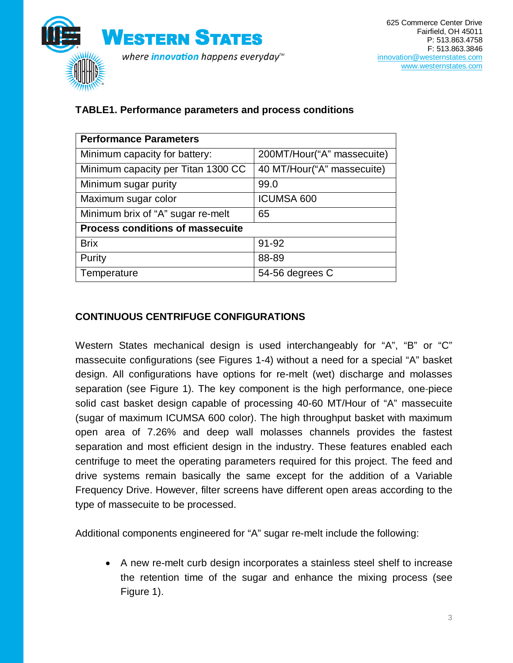

#### **TABLE1. Performance parameters and process conditions**

| <b>Performance Parameters</b>           |                            |
|-----------------------------------------|----------------------------|
| Minimum capacity for battery:           | 200MT/Hour("A" massecuite) |
| Minimum capacity per Titan 1300 CC      | 40 MT/Hour("A" massecuite) |
| Minimum sugar purity                    | 99.0                       |
| Maximum sugar color                     | <b>ICUMSA 600</b>          |
| Minimum brix of "A" sugar re-melt       | 65                         |
| <b>Process conditions of massecuite</b> |                            |
| <b>Brix</b>                             | 91-92                      |
| Purity                                  | 88-89                      |
| Temperature                             | 54-56 degrees C            |

## **CONTINUOUS CENTRIFUGE CONFIGURATIONS**

Western States mechanical design is used interchangeably for "A", "B" or "C" massecuite configurations (see Figures 1-4) without a need for a special "A" basket design. All configurations have options for re-melt (wet) discharge and molasses separation (see Figure 1). The key component is the high performance, one-piece solid cast basket design capable of processing 40-60 MT/Hour of "A" massecuite (sugar of maximum ICUMSA 600 color). The high throughput basket with maximum open area of 7.26% and deep wall molasses channels provides the fastest separation and most efficient design in the industry. These features enabled each centrifuge to meet the operating parameters required for this project. The feed and drive systems remain basically the same except for the addition of a Variable Frequency Drive. However, filter screens have different open areas according to the type of massecuite to be processed.

Additional components engineered for "A" sugar re-melt include the following:

• A new re-melt curb design incorporates a stainless steel shelf to increase the retention time of the sugar and enhance the mixing process (see Figure 1).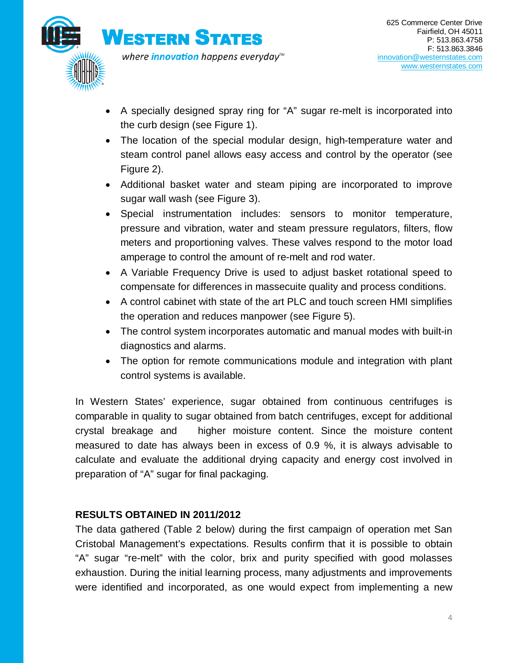

- A specially designed spray ring for "A" sugar re-melt is incorporated into the curb design (see Figure 1).
- The location of the special modular design, high-temperature water and steam control panel allows easy access and control by the operator (see Figure 2).
- Additional basket water and steam piping are incorporated to improve sugar wall wash (see Figure 3).
- Special instrumentation includes: sensors to monitor temperature, pressure and vibration, water and steam pressure regulators, filters, flow meters and proportioning valves. These valves respond to the motor load amperage to control the amount of re-melt and rod water.
- A Variable Frequency Drive is used to adjust basket rotational speed to compensate for differences in massecuite quality and process conditions.
- A control cabinet with state of the art PLC and touch screen HMI simplifies the operation and reduces manpower (see Figure 5).
- The control system incorporates automatic and manual modes with built-in diagnostics and alarms.
- The option for remote communications module and integration with plant control systems is available.

In Western States' experience, sugar obtained from continuous centrifuges is comparable in quality to sugar obtained from batch centrifuges, except for additional crystal breakage and higher moisture content. Since the moisture content measured to date has always been in excess of 0.9 %, it is always advisable to calculate and evaluate the additional drying capacity and energy cost involved in preparation of "A" sugar for final packaging.

#### **RESULTS OBTAINED IN 2011/2012**

The data gathered (Table 2 below) during the first campaign of operation met San Cristobal Management's expectations. Results confirm that it is possible to obtain "A" sugar "re-melt" with the color, brix and purity specified with good molasses exhaustion. During the initial learning process, many adjustments and improvements were identified and incorporated, as one would expect from implementing a new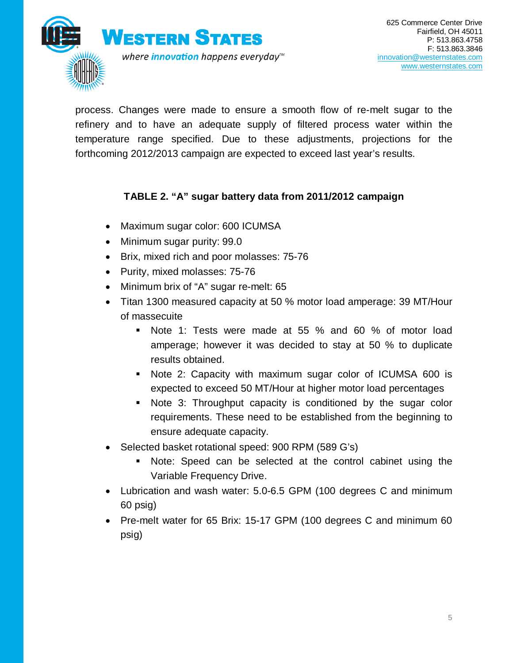

process. Changes were made to ensure a smooth flow of re-melt sugar to the refinery and to have an adequate supply of filtered process water within the temperature range specified. Due to these adjustments, projections for the forthcoming 2012/2013 campaign are expected to exceed last year's results.

#### **TABLE 2. "A" sugar battery data from 2011/2012 campaign**

- Maximum sugar color: 600 ICUMSA
- Minimum sugar purity: 99.0
- Brix, mixed rich and poor molasses: 75-76
- Purity, mixed molasses: 75-76
- Minimum brix of "A" sugar re-melt: 65
- Titan 1300 measured capacity at 50 % motor load amperage: 39 MT/Hour of massecuite
	- Note 1: Tests were made at 55 % and 60 % of motor load amperage; however it was decided to stay at 50 % to duplicate results obtained.
	- Note 2: Capacity with maximum sugar color of ICUMSA 600 is expected to exceed 50 MT/Hour at higher motor load percentages
	- Note 3: Throughput capacity is conditioned by the sugar color requirements. These need to be established from the beginning to ensure adequate capacity.
- Selected basket rotational speed: 900 RPM (589 G's)
	- Note: Speed can be selected at the control cabinet using the Variable Frequency Drive.
- Lubrication and wash water: 5.0-6.5 GPM (100 degrees C and minimum 60 psig)
- Pre-melt water for 65 Brix: 15-17 GPM (100 degrees C and minimum 60 psig)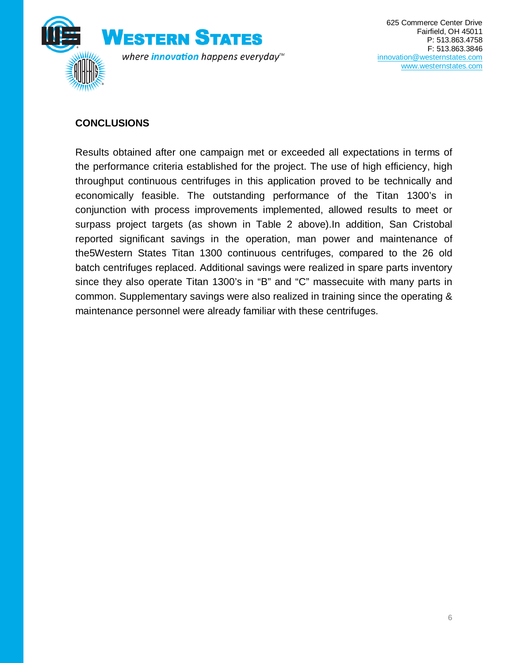

## **CONCLUSIONS**

Results obtained after one campaign met or exceeded all expectations in terms of the performance criteria established for the project. The use of high efficiency, high throughput continuous centrifuges in this application proved to be technically and economically feasible. The outstanding performance of the Titan 1300's in conjunction with process improvements implemented, allowed results to meet or surpass project targets (as shown in Table 2 above).In addition, San Cristobal reported significant savings in the operation, man power and maintenance of the5Western States Titan 1300 continuous centrifuges, compared to the 26 old batch centrifuges replaced. Additional savings were realized in spare parts inventory since they also operate Titan 1300's in "B" and "C" massecuite with many parts in common. Supplementary savings were also realized in training since the operating & maintenance personnel were already familiar with these centrifuges.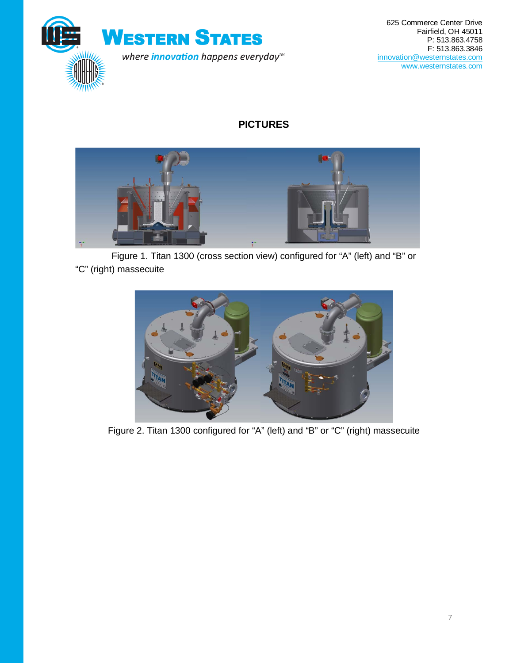

625 Commerce Center Drive Fairfield, OH 45011 P: 513.863.4758 F: 513.863.3846 [innovation@westernstates.com](mailto:innovation@westernstates.com) [www.westernstates.com](http://www.westernstates.com/)

## **PICTURES**



Figure 1. Titan 1300 (cross section view) configured for "A" (left) and "B" or "C" (right) massecuite



Figure 2. Titan 1300 configured for "A" (left) and "B" or "C" (right) massecuite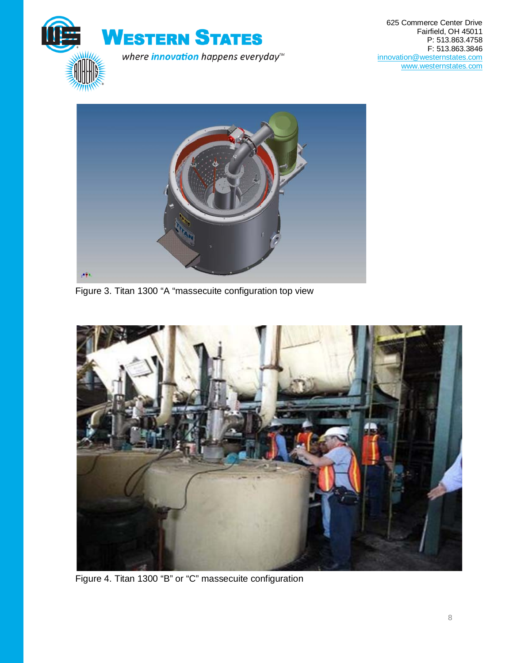



Figure 3. Titan 1300 "A "massecuite configuration top view



Figure 4. Titan 1300 "B" or "C" massecuite configuration